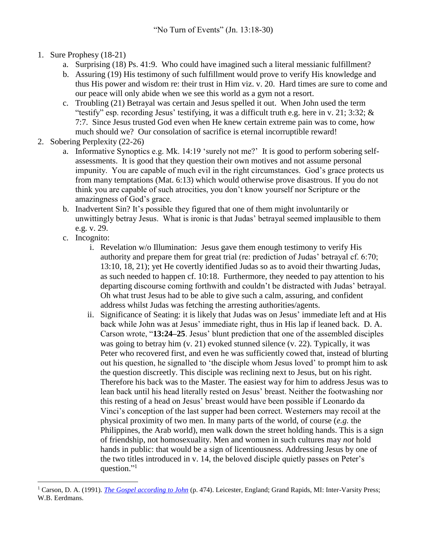- 1. Sure Prophesy (18-21)
	- a. Surprising (18) Ps. 41:9. Who could have imagined such a literal messianic fulfillment?
	- b. Assuring (19) His testimony of such fulfillment would prove to verify His knowledge and thus His power and wisdom re: their trust in Him viz. v. 20. Hard times are sure to come and our peace will only abide when we see this world as a gym not a resort.
	- c. Troubling (21) Betrayal was certain and Jesus spelled it out. When John used the term "testify" esp. recording Jesus' testifying, it was a difficult truth e.g. here in v. 21; 3:32;  $\&$ 7:7. Since Jesus trusted God even when He knew certain extreme pain was to come, how much should we? Our consolation of sacrifice is eternal incorruptible reward!
- 2. Sobering Perplexity (22-26)
	- a. Informative Synoptics e.g. Mk. 14:19 'surely not me?' It is good to perform sobering selfassessments. It is good that they question their own motives and not assume personal impunity. You are capable of much evil in the right circumstances. God's grace protects us from many temptations (Mat. 6:13) which would otherwise prove disastrous. If you do not think you are capable of such atrocities, you don't know yourself nor Scripture or the amazingness of God's grace.
	- b. Inadvertent Sin? It's possible they figured that one of them might involuntarily or unwittingly betray Jesus. What is ironic is that Judas' betrayal seemed implausible to them e.g. v. 29.
	- c. Incognito:

 $\overline{a}$ 

- i. Revelation w/o Illumination: Jesus gave them enough testimony to verify His authority and prepare them for great trial (re: prediction of Judas' betrayal cf. 6:70; 13:10, 18, 21); yet He covertly identified Judas so as to avoid their thwarting Judas, as such needed to happen cf. 10:18. Furthermore, they needed to pay attention to his departing discourse coming forthwith and couldn't be distracted with Judas' betrayal. Oh what trust Jesus had to be able to give such a calm, assuring, and confident address whilst Judas was fetching the arresting authorities/agents.
- ii. Significance of Seating: it is likely that Judas was on Jesus' immediate left and at His back while John was at Jesus' immediate right, thus in His lap if leaned back. D. A. Carson wrote, "**13:24–25**. Jesus' blunt prediction that one of the assembled disciples was going to betray him (v. 21) evoked stunned silence (v. 22). Typically, it was Peter who recovered first, and even he was sufficiently cowed that, instead of blurting out his question, he signalled to 'the disciple whom Jesus loved' to prompt him to ask the question discreetly. This disciple was reclining next to Jesus, but on his right. Therefore his back was to the Master. The easiest way for him to address Jesus was to lean back until his head literally rested on Jesus' breast. Neither the footwashing nor this resting of a head on Jesus' breast would have been possible if Leonardo da Vinci's conception of the last supper had been correct. Westerners may recoil at the physical proximity of two men. In many parts of the world, of course (*e.g.* the Philippines, the Arab world), men walk down the street holding hands. This is a sign of friendship, not homosexuality. Men and women in such cultures may *not* hold hands in public: that would be a sign of licentiousness. Addressing Jesus by one of the two titles introduced in v. 14, the beloved disciple quietly passes on Peter's question."<sup>1</sup>

<sup>1</sup> Carson, D. A. (1991). *[The Gospel according to John](https://ref.ly/logosres/pntcjohn?ref=Bible.Jn13.24-25&off=0&ctx=g+of+this+chapter).%0a~13%3a24%E2%80%9325.+Jesus%E2%80%99+blu)* (p. 474). Leicester, England; Grand Rapids, MI: Inter-Varsity Press; W.B. Eerdmans.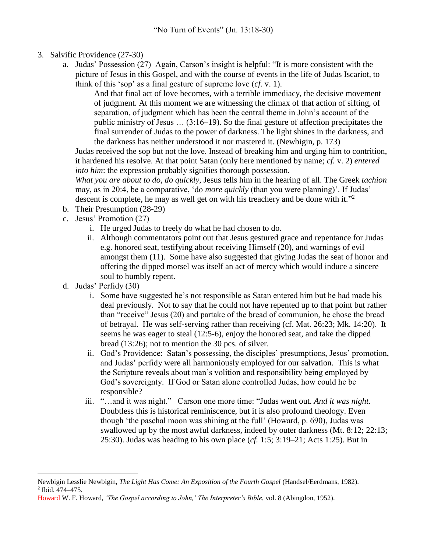- 3. Salvific Providence (27-30)
	- a. Judas' Possession (27) Again, Carson's insight is helpful: "It is more consistent with the picture of Jesus in this Gospel, and with the course of events in the life of Judas Iscariot, to think of this 'sop' as a final gesture of supreme love (*cf.* v. 1).

And that final act of love becomes, with a terrible immediacy, the decisive movement of judgment. At this moment we are witnessing the climax of that action of sifting, of separation, of judgment which has been the central theme in John's account of the public ministry of Jesus … (3:16–19). So the final gesture of affection precipitates the final surrender of Judas to the power of darkness. The light shines in the darkness, and the darkness has neither understood it nor mastered it. (Newbigin, p. 173)

Judas received the sop but not the love. Instead of breaking him and urging him to contrition, it hardened his resolve. At that point Satan (only here mentioned by name; *cf.* v. 2) *entered into him*: the expression probably signifies thorough possession.

*What you are about to do, do quickly*, Jesus tells him in the hearing of all. The Greek *tachion* may, as in 20:4, be a comparative, 'do *more quickly* (than you were planning)'. If Judas' descent is complete, he may as well get on with his treachery and be done with it."<sup>2</sup>

- b. Their Presumption (28-29)
- c. Jesus' Promotion (27)
	- i. He urged Judas to freely do what he had chosen to do.
	- ii. Although commentators point out that Jesus gestured grace and repentance for Judas e.g. honored seat, testifying about receiving Himself (20), and warnings of evil amongst them (11). Some have also suggested that giving Judas the seat of honor and offering the dipped morsel was itself an act of mercy which would induce a sincere soul to humbly repent.
- d. Judas' Perfidy (30)

 $\overline{a}$ 

- i. Some have suggested he's not responsible as Satan entered him but he had made his deal previously. Not to say that he could not have repented up to that point but rather than "receive" Jesus (20) and partake of the bread of communion, he chose the bread of betrayal. He was self-serving rather than receiving (cf. Mat. 26:23; Mk. 14:20). It seems he was eager to steal (12:5-6), enjoy the honored seat, and take the dipped bread (13:26); not to mention the 30 pcs. of silver.
- ii. God's Providence: Satan's possessing, the disciples' presumptions, Jesus' promotion, and Judas' perfidy were all harmoniously employed for our salvation. This is what the Scripture reveals about man's volition and responsibility being employed by God's sovereignty. If God or Satan alone controlled Judas, how could he be responsible?
- iii. "…and it was night." Carson one more time: "Judas went out. *And it was night*. Doubtless this is historical reminiscence, but it is also profound theology. Even though 'the paschal moon was shining at the full' (Howard, p. 690), Judas was swallowed up by the most awful darkness, indeed by outer darkness (Mt. 8:12; 22:13; 25:30). Judas was heading to his own place (*cf.* 1:5; 3:19–21; Acts 1:25). But in

Newbigin Lesslie Newbigin, *The Light Has Come: An Exposition of the Fourth Gospel* (Handsel/Eerdmans, 1982). 2 Ibid. 474–475.

Howard W. F. Howard, *'The Gospel according to John,' The Interpreter's Bible*, vol. 8 (Abingdon, 1952).